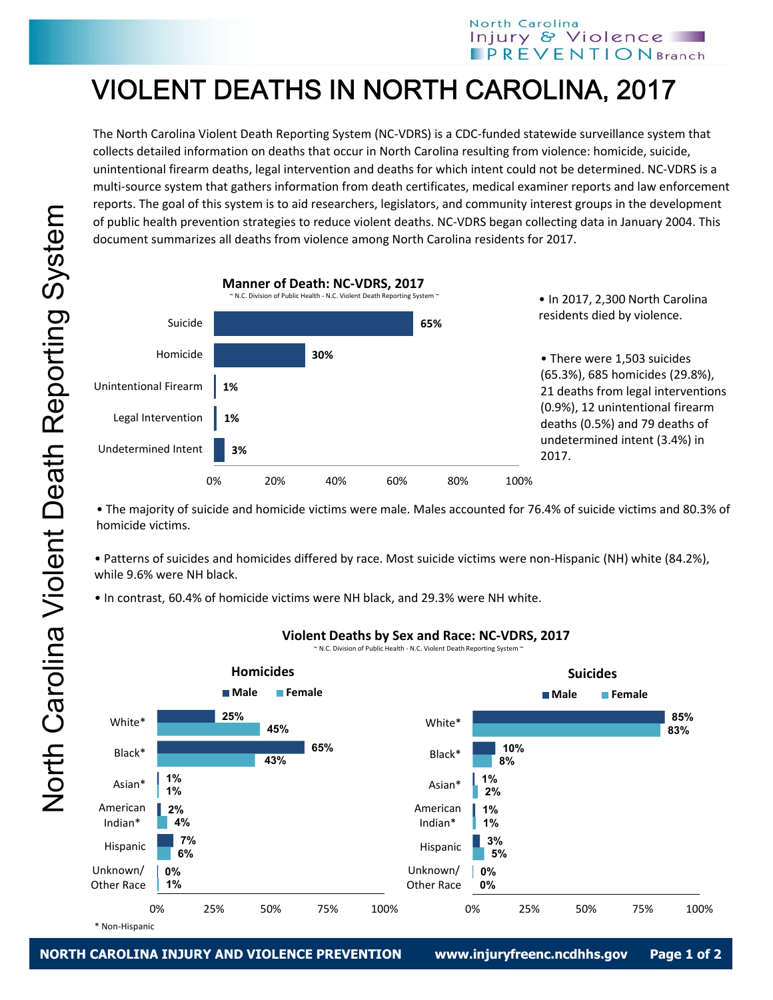## VIOLENT DEATHS IN NORTH CAROLINA, 2017

The North Carolina Violent Death Reporting System (NC‐VDRS) is a CDC‐funded statewide surveillance system that collects detailed information on deaths that occur in North Carolina resulting from violence: homicide, suicide, unintentional firearm deaths, legal intervention and deaths for which intent could not be determined. NC‐VDRS is a multi‐source system that gathers information from death certificates, medical examiner reports and law enforcement reports. The goal of this system is to aid researchers, legislators, and community interest groups in the development of public health prevention strategies to reduce violent deaths. NC‐VDRS began collecting data in January 2004. This document summarizes all deaths from violence among North Carolina residents for 2017.



• The majority of suicide and homicide victims were male. Males accounted for 76.4% of suicide victims and 80.3% of homicide victims.

• Patterns of suicides and homicides differed by race. Most suicide victims were non‐Hispanic (NH) white (84.2%), while 9.6% were NH black.

• In contrast, 60.4% of homicide victims were NH black, and 29.3% were NH white.



## **Violent Deaths by Sex and Race: NC‐VDRS, 2017**

~ N.C. Division of Public Health ‐ N.C. Violent Death Reporting System ~